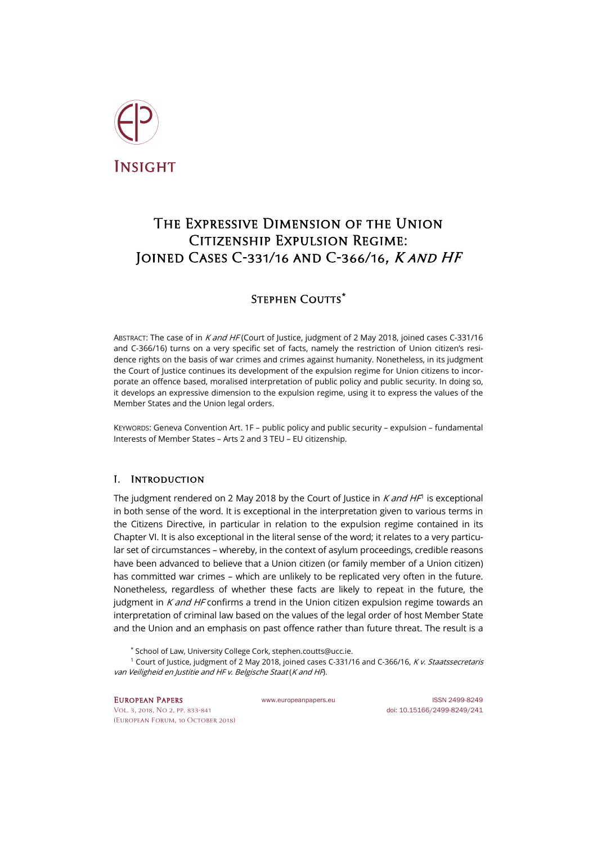

# The Expressive Dimension of the Union Citizenship Expulsion Regime: Joined Cases C-331/16 and C-366/16, K and HF

# Stephen Coutts**[\\*](#page-0-0)**

ABSTRACT: The case of in K and HF (Court of Justice, judgment of 2 May 2018, joined cases C-331/16 and C-366/16) turns on a very specific set of facts, namely the restriction of Union citizen's residence rights on the basis of war crimes and crimes against humanity. Nonetheless, in its judgment the Court of Justice continues its development of the expulsion regime for Union citizens to incorporate an offence based, moralised interpretation of public policy and public security. In doing so, it develops an expressive dimension to the expulsion regime, using it to express the values of the Member States and the Union legal orders.

KEYWORDS: Geneva Convention Art. 1F – public policy and public security – expulsion – fundamental Interests of Member States – Arts 2 and 3 TEU – EU citizenship.

# I. Introduction

The judgment rendered on 2 May 20[1](#page-0-1)8 by the Court of Justice in  $K$  and HF<sup>1</sup> is exceptional in both sense of the word. It is exceptional in the interpretation given to various terms in the Citizens Directive, in particular in relation to the expulsion regime contained in its Chapter VI. It is also exceptional in the literal sense of the word; it relates to a very particular set of circumstances – whereby, in the context of asylum proceedings, credible reasons have been advanced to believe that a Union citizen (or family member of a Union citizen) has committed war crimes – which are unlikely to be replicated very often in the future. Nonetheless, regardless of whether these facts are likely to repeat in the future, the judgment in  $K$  and HF confirms a trend in the Union citizen expulsion regime towards an interpretation of criminal law based on the values of the legal order of host Member State and the Union and an emphasis on past offence rather than future threat. The result is a

\* School of Law, University College Cork[, stephen.coutts@ucc.ie.](mailto:stephen.coutts@ucc.ie)

<span id="page-0-1"></span><span id="page-0-0"></span><sup>1</sup> Court of Justice, judgment of 2 May 2018, joined cases C-331/16 and C-366/16, K v. Staatssecretaris van Veiligheid en Justitie and HF v. Belgische Staat (K and HF).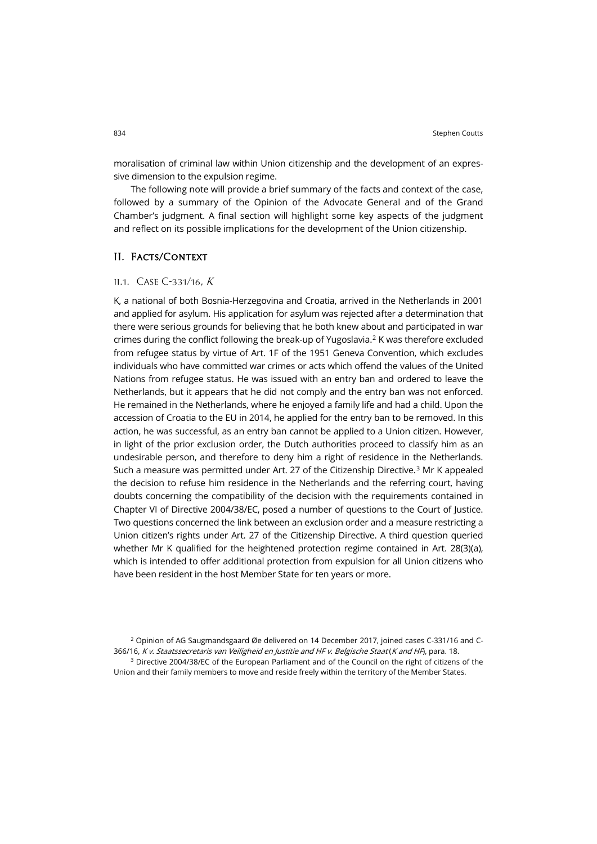moralisation of criminal law within Union citizenship and the development of an expressive dimension to the expulsion regime.

The following note will provide a brief summary of the facts and context of the case, followed by a summary of the Opinion of the Advocate General and of the Grand Chamber's judgment. A final section will highlight some key aspects of the judgment and reflect on its possible implications for the development of the Union citizenship.

## II. Facts/Context

#### II.1. CASE C-331/16,  $K$

K, a national of both Bosnia-Herzegovina and Croatia, arrived in the Netherlands in 2001 and applied for asylum. His application for asylum was rejected after a determination that there were serious grounds for believing that he both knew about and participated in war crimes during the conflict following the break-up of Yugoslavia.[2](#page-1-0) K was therefore excluded from refugee status by virtue of Art. 1F of the 1951 Geneva Convention, which excludes individuals who have committed war crimes or acts which offend the values of the United Nations from refugee status. He was issued with an entry ban and ordered to leave the Netherlands, but it appears that he did not comply and the entry ban was not enforced. He remained in the Netherlands, where he enjoyed a family life and had a child. Upon the accession of Croatia to the EU in 2014, he applied for the entry ban to be removed. In this action, he was successful, as an entry ban cannot be applied to a Union citizen. However, in light of the prior exclusion order, the Dutch authorities proceed to classify him as an undesirable person, and therefore to deny him a right of residence in the Netherlands. Such a measure was permitted under Art. 27 of the Citizenship Directive.<sup>[3](#page-1-1)</sup> Mr K appealed the decision to refuse him residence in the Netherlands and the referring court, having doubts concerning the compatibility of the decision with the requirements contained in Chapter VI of Directive 2004/38/EC, posed a number of questions to the Court of Justice. Two questions concerned the link between an exclusion order and a measure restricting a Union citizen's rights under Art. 27 of the Citizenship Directive. A third question queried whether Mr K qualified for the heightened protection regime contained in Art. 28(3)(a), which is intended to offer additional protection from expulsion for all Union citizens who have been resident in the host Member State for ten years or more.

<span id="page-1-1"></span><span id="page-1-0"></span><sup>2</sup> Opinion of AG Saugmandsgaard Øe delivered on 14 December 2017, joined cases C-331/16 and C-366/16, K v. Staatssecretaris van Veiligheid en Justitie and HF v. Belgische Staat (K and HF), para. 18. <sup>3</sup> Directive 2004/38/EC of the European Parliament and of the Council on the right of citizens of the Union and their family members to move and reside freely within the territory of the Member States.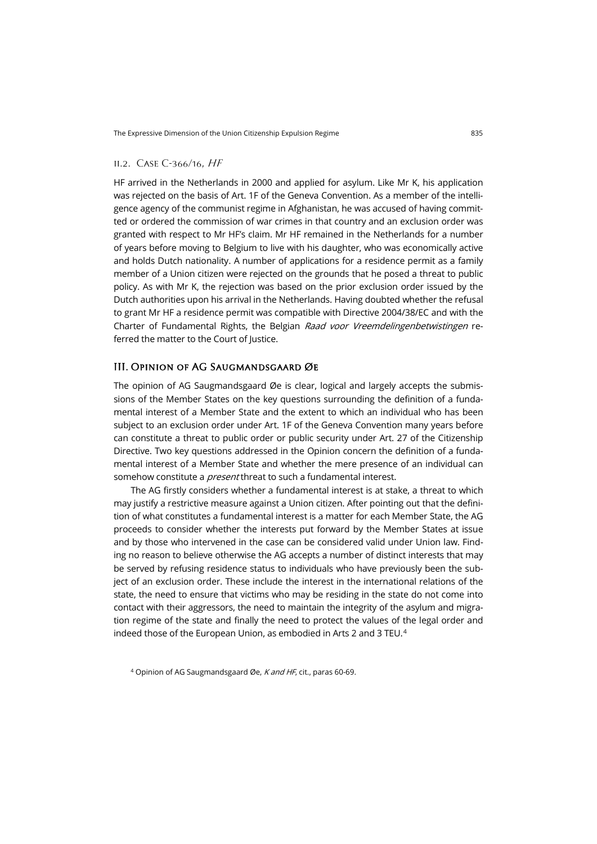#### ii.2. Case C-366/16, HF

HF arrived in the Netherlands in 2000 and applied for asylum. Like Mr K, his application was rejected on the basis of Art. 1F of the Geneva Convention. As a member of the intelligence agency of the communist regime in Afghanistan, he was accused of having committed or ordered the commission of war crimes in that country and an exclusion order was granted with respect to Mr HF's claim. Mr HF remained in the Netherlands for a number of years before moving to Belgium to live with his daughter, who was economically active and holds Dutch nationality. A number of applications for a residence permit as a family member of a Union citizen were rejected on the grounds that he posed a threat to public policy. As with Mr K, the rejection was based on the prior exclusion order issued by the Dutch authorities upon his arrival in the Netherlands. Having doubted whether the refusal to grant Mr HF a residence permit was compatible with Directive 2004/38/EC and with the Charter of Fundamental Rights, the Belgian Raad voor Vreemdelingenbetwistingen referred the matter to the Court of Justice.

## III. Opinion of AG Saugmandsgaard Øe

The opinion of AG Saugmandsgaard Øe is clear, logical and largely accepts the submissions of the Member States on the key questions surrounding the definition of a fundamental interest of a Member State and the extent to which an individual who has been subject to an exclusion order under Art. 1F of the Geneva Convention many years before can constitute a threat to public order or public security under Art. 27 of the Citizenship Directive. Two key questions addressed in the Opinion concern the definition of a fundamental interest of a Member State and whether the mere presence of an individual can somehow constitute a *present* threat to such a fundamental interest.

The AG firstly considers whether a fundamental interest is at stake, a threat to which may justify a restrictive measure against a Union citizen. After pointing out that the definition of what constitutes a fundamental interest is a matter for each Member State, the AG proceeds to consider whether the interests put forward by the Member States at issue and by those who intervened in the case can be considered valid under Union law. Finding no reason to believe otherwise the AG accepts a number of distinct interests that may be served by refusing residence status to individuals who have previously been the subject of an exclusion order. These include the interest in the international relations of the state, the need to ensure that victims who may be residing in the state do not come into contact with their aggressors, the need to maintain the integrity of the asylum and migration regime of the state and finally the need to protect the values of the legal order and indeed those of the European Union, as embodied in Arts 2 and 3 TEU.[4](#page-2-0)

<span id="page-2-0"></span><sup>4</sup> Opinion of AG Saugmandsgaard Øe, K and HF, cit., paras 60-69.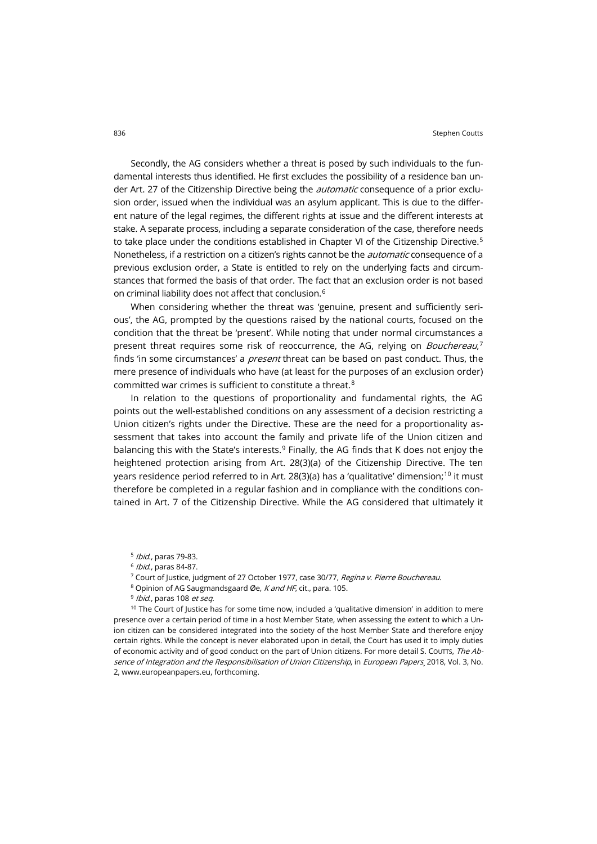Secondly, the AG considers whether a threat is posed by such individuals to the fundamental interests thus identified. He first excludes the possibility of a residence ban under Art. 27 of the Citizenship Directive being the *automatic* consequence of a prior exclusion order, issued when the individual was an asylum applicant. This is due to the different nature of the legal regimes, the different rights at issue and the different interests at stake. A separate process, including a separate consideration of the case, therefore needs to take place under the conditions established in Chapter VI of the Citizenship Directive.<sup>[5](#page-3-0)</sup> Nonetheless, if a restriction on a citizen's rights cannot be the *automatic* consequence of a previous exclusion order, a State is entitled to rely on the underlying facts and circumstances that formed the basis of that order. The fact that an exclusion order is not based on criminal liability does not affect that conclusion.[6](#page-3-1)

When considering whether the threat was 'genuine, present and sufficiently serious', the AG, prompted by the questions raised by the national courts, focused on the condition that the threat be 'present'. While noting that under normal circumstances a present threat requires some risk of reoccurrence, the AG, relying on *Bouchereau*,<sup>[7](#page-3-2)</sup> finds 'in some circumstances' a *present* threat can be based on past conduct. Thus, the mere presence of individuals who have (at least for the purposes of an exclusion order) committed war crimes is sufficient to constitute a threat.[8](#page-3-3)

In relation to the questions of proportionality and fundamental rights, the AG points out the well-established conditions on any assessment of a decision restricting a Union citizen's rights under the Directive. These are the need for a proportionality assessment that takes into account the family and private life of the Union citizen and balancing this with the State's interests. $9$  Finally, the AG finds that K does not enjoy the heightened protection arising from Art. 28(3)(a) of the Citizenship Directive. The ten years residence period referred to in Art. 28(3)(a) has a 'qualitative' dimension;<sup>[10](#page-3-5)</sup> it must therefore be completed in a regular fashion and in compliance with the conditions contained in Art. 7 of the Citizenship Directive. While the AG considered that ultimately it

- <sup>5</sup> Ibid., paras 79-83.
- <sup>6</sup> Ibid., paras 84-87.
- <sup>7</sup> Court of Justice, judgment of 27 October 1977, case 30/77, Regina v. Pierre Bouchereau.
- 8 Opinion of AG Saugmandsgaard Øe, K and HF, cit., para. 105.
- <sup>9</sup> Ibid., paras 108 et seq.

<span id="page-3-5"></span><span id="page-3-4"></span><span id="page-3-3"></span><span id="page-3-2"></span><span id="page-3-1"></span><span id="page-3-0"></span> $10$  The Court of Justice has for some time now, included a 'qualitative dimension' in addition to mere presence over a certain period of time in a host Member State, when assessing the extent to which a Union citizen can be considered integrated into the society of the host Member State and therefore enjoy certain rights. While the concept is never elaborated upon in detail, the Court has used it to imply duties of economic activity and of good conduct on the part of Union citizens. For more detail S. Courts, The Absence of Integration and the Responsibilisation of Union Citizenship, in European Papers, 2018, Vol. 3, No. 2, [www.europeanpapers.eu,](http://www.europeanpapers.eu/) forthcoming.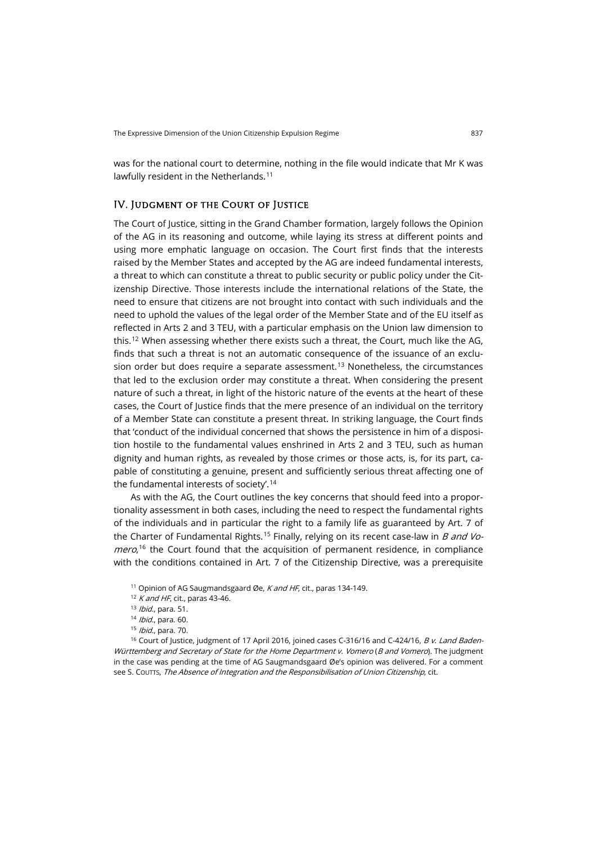was for the national court to determine, nothing in the file would indicate that Mr K was lawfully resident in the Netherlands.<sup>[11](#page-4-0)</sup>

#### IV. Judgment of the Court of Justice

The Court of Justice, sitting in the Grand Chamber formation, largely follows the Opinion of the AG in its reasoning and outcome, while laying its stress at different points and using more emphatic language on occasion. The Court first finds that the interests raised by the Member States and accepted by the AG are indeed fundamental interests, a threat to which can constitute a threat to public security or public policy under the Citizenship Directive. Those interests include the international relations of the State, the need to ensure that citizens are not brought into contact with such individuals and the need to uphold the values of the legal order of the Member State and of the EU itself as reflected in Arts 2 and 3 TEU, with a particular emphasis on the Union law dimension to this.[12](#page-4-1) When assessing whether there exists such a threat, the Court, much like the AG, finds that such a threat is not an automatic consequence of the issuance of an exclu-sion order but does require a separate assessment.<sup>[13](#page-4-2)</sup> Nonetheless, the circumstances that led to the exclusion order may constitute a threat. When considering the present nature of such a threat, in light of the historic nature of the events at the heart of these cases, the Court of Justice finds that the mere presence of an individual on the territory of a Member State can constitute a present threat. In striking language, the Court finds that 'conduct of the individual concerned that shows the persistence in him of a disposition hostile to the fundamental values enshrined in Arts 2 and 3 TEU, such as human dignity and human rights, as revealed by those crimes or those acts, is, for its part, capable of constituting a genuine, present and sufficiently serious threat affecting one of the fundamental interests of society'.[14](#page-4-3)

As with the AG, the Court outlines the key concerns that should feed into a proportionality assessment in both cases, including the need to respect the fundamental rights of the individuals and in particular the right to a family life as guaranteed by Art. 7 of the Charter of Fundamental Rights.<sup>[15](#page-4-4)</sup> Finally, relying on its recent case-law in *B and Vomero*,<sup>[16](#page-4-5)</sup> the Court found that the acquisition of permanent residence, in compliance with the conditions contained in Art. 7 of the Citizenship Directive, was a prerequisite

<span id="page-4-5"></span><span id="page-4-4"></span><span id="page-4-3"></span><span id="page-4-2"></span><span id="page-4-1"></span><span id="page-4-0"></span><sup>16</sup> Court of Justice, judgment of 17 April 2016, joined cases C-316/16 and C-424/16, B v. Land Baden-Württemberg and Secretary of State for the Home Department v. Vomero (B and Vomero). The judgment in the case was pending at the time of AG Saugmandsgaard Øe's opinion was delivered. For a comment see S. COUTTS, The Absence of Integration and the Responsibilisation of Union Citizenship, cit.

<sup>&</sup>lt;sup>11</sup> Opinion of AG Saugmandsgaard Øe, K and HF, cit., paras 134-149.

 $12$  K and HF, cit., paras 43-46.

<sup>13</sup> *Ibid.*, para. 51.

<sup>14</sup> *Ibid.*, para. 60.

<sup>&</sup>lt;sup>15</sup> *Ibid.*, para. 70.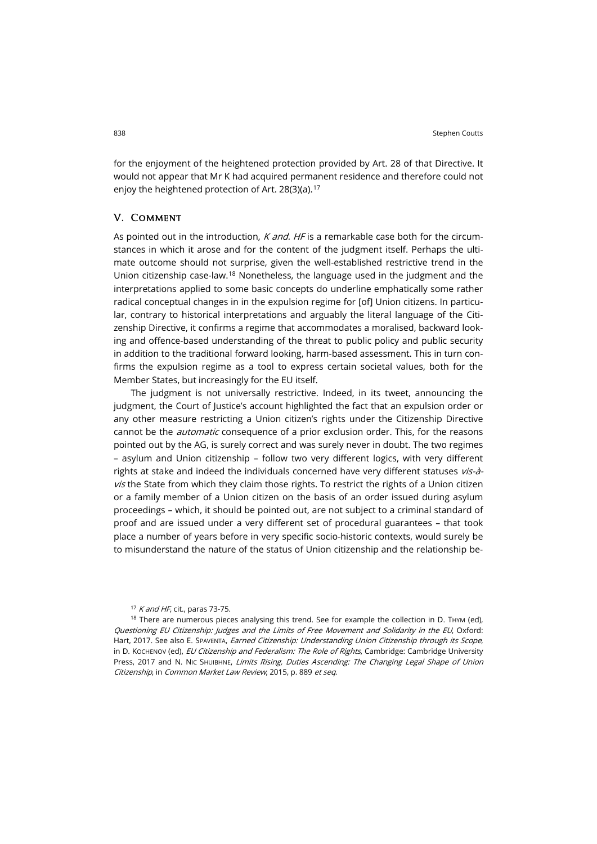for the enjoyment of the heightened protection provided by Art. 28 of that Directive. It would not appear that Mr K had acquired permanent residence and therefore could not enjoy the heightened protection of Art. 28(3)(a).<sup>[17](#page-5-0)</sup>

#### V. Comment

As pointed out in the introduction,  $K$  and. HF is a remarkable case both for the circumstances in which it arose and for the content of the judgment itself. Perhaps the ultimate outcome should not surprise, given the well-established restrictive trend in the Union citizenship case-law.[18](#page-5-1) Nonetheless, the language used in the judgment and the interpretations applied to some basic concepts do underline emphatically some rather radical conceptual changes in in the expulsion regime for [of] Union citizens. In particular, contrary to historical interpretations and arguably the literal language of the Citizenship Directive, it confirms a regime that accommodates a moralised, backward looking and offence-based understanding of the threat to public policy and public security in addition to the traditional forward looking, harm-based assessment. This in turn confirms the expulsion regime as a tool to express certain societal values, both for the Member States, but increasingly for the EU itself.

The judgment is not universally restrictive. Indeed, in its tweet, announcing the judgment, the Court of Justice's account highlighted the fact that an expulsion order or any other measure restricting a Union citizen's rights under the Citizenship Directive cannot be the *automatic* consequence of a prior exclusion order. This, for the reasons pointed out by the AG, is surely correct and was surely never in doubt. The two regimes – asylum and Union citizenship – follow two very different logics, with very different rights at stake and indeed the individuals concerned have very different statuses vis-àvis the State from which they claim those rights. To restrict the rights of a Union citizen or a family member of a Union citizen on the basis of an order issued during asylum proceedings – which, it should be pointed out, are not subject to a criminal standard of proof and are issued under a very different set of procedural guarantees – that took place a number of years before in very specific socio-historic contexts, would surely be to misunderstand the nature of the status of Union citizenship and the relationship be-

 $17$  K and HF, cit., paras 73-75.

<span id="page-5-1"></span><span id="page-5-0"></span> $18$  There are numerous pieces analysing this trend. See for example the collection in D. THYM (ed), Questioning EU Citizenship: Judges and the Limits of Free Movement and Solidarity in the EU, Oxford: Hart, 2017. See also E. SPAVENTA, *Earned Citizenship: Understanding Union Citizenship through its Scope*, in D. Kochenov (ed), EU Citizenship and Federalism: The Role of Rights, Cambridge: Cambridge University Press, 2017 and N. NIC SHUIBHNE, Limits Rising, Duties Ascending: The Changing Legal Shape of Union Citizenship, in Common Market Law Review, 2015, p. 889 et seq.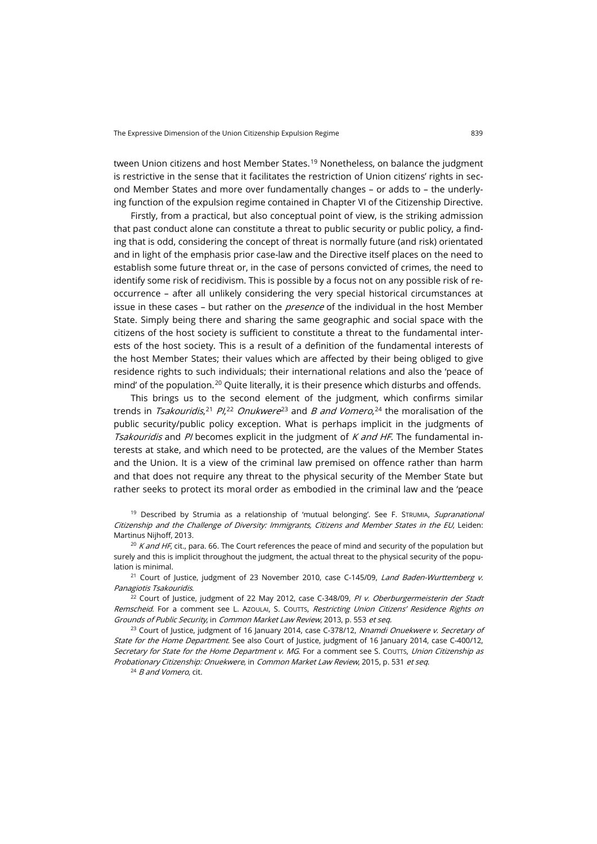tween Union citizens and host Member States.<sup>[19](#page-6-0)</sup> Nonetheless, on balance the judgment is restrictive in the sense that it facilitates the restriction of Union citizens' rights in second Member States and more over fundamentally changes – or adds to – the underlying function of the expulsion regime contained in Chapter VI of the Citizenship Directive.

Firstly, from a practical, but also conceptual point of view, is the striking admission that past conduct alone can constitute a threat to public security or public policy, a finding that is odd, considering the concept of threat is normally future (and risk) orientated and in light of the emphasis prior case-law and the Directive itself places on the need to establish some future threat or, in the case of persons convicted of crimes, the need to identify some risk of recidivism. This is possible by a focus not on any possible risk of reoccurrence – after all unlikely considering the very special historical circumstances at issue in these cases – but rather on the *presence* of the individual in the host Member State. Simply being there and sharing the same geographic and social space with the citizens of the host society is sufficient to constitute a threat to the fundamental interests of the host society. This is a result of a definition of the fundamental interests of the host Member States; their values which are affected by their being obliged to give residence rights to such individuals; their international relations and also the 'peace of mind' of the population.<sup>[20](#page-6-1)</sup> Quite literally, it is their presence which disturbs and offends.

This brings us to the second element of the judgment, which confirms similar trends in *Tsakouridis*,<sup>[21](#page-6-2)</sup> Pl,<sup>[22](#page-6-3)</sup> Onukwere<sup>[23](#page-6-4)</sup> and B and Vomero,<sup>[24](#page-6-5)</sup> the moralisation of the public security/public policy exception. What is perhaps implicit in the judgments of *Tsakouridis* and PI becomes explicit in the judgment of K and HF. The fundamental interests at stake, and which need to be protected, are the values of the Member States and the Union. It is a view of the criminal law premised on offence rather than harm and that does not require any threat to the physical security of the Member State but rather seeks to protect its moral order as embodied in the criminal law and the 'peace

<span id="page-6-0"></span><sup>19</sup> Described by Strumia as a relationship of 'mutual belonging'. See F. STRUMIA, *Supranational* Citizenship and the Challenge of Diversity: Immigrants, Citizens and Member States in the EU, Leiden: Martinus Nijhoff, 2013.

<span id="page-6-1"></span><sup>20</sup> K and HF, cit., para. 66. The Court references the peace of mind and security of the population but surely and this is implicit throughout the judgment, the actual threat to the physical security of the population is minimal.

<span id="page-6-2"></span><sup>21</sup> Court of Justice, judgment of 23 November 2010, case C-145/09, Land Baden-Wurttemberg v. Panagiotis Tsakouridis.

<span id="page-6-3"></span><sup>22</sup> Court of Justice, judgment of 22 May 2012, case C-348/09, PI v. Oberburgermeisterin der Stadt Remscheid. For a comment see L. AzouLAI, S. Courrs, Restricting Union Citizens' Residence Rights on Grounds of Public Security, in Common Market Law Review, 2013, p. 553 et seq.

<span id="page-6-5"></span><span id="page-6-4"></span><sup>23</sup> Court of Justice, judgment of 16 January 2014, case C-378/12, Nnamdi Onuekwere v. Secretary of State for the Home Department. See also Court of Justice, judgment of 16 January 2014, case C-400/12, Secretary for State for the Home Department v. MG. For a comment see S. Courrs, Union Citizenship as Probationary Citizenship: Onuekwere, in Common Market Law Review, 2015, p. 531 et seq.

 $24$  B and Vomero, cit.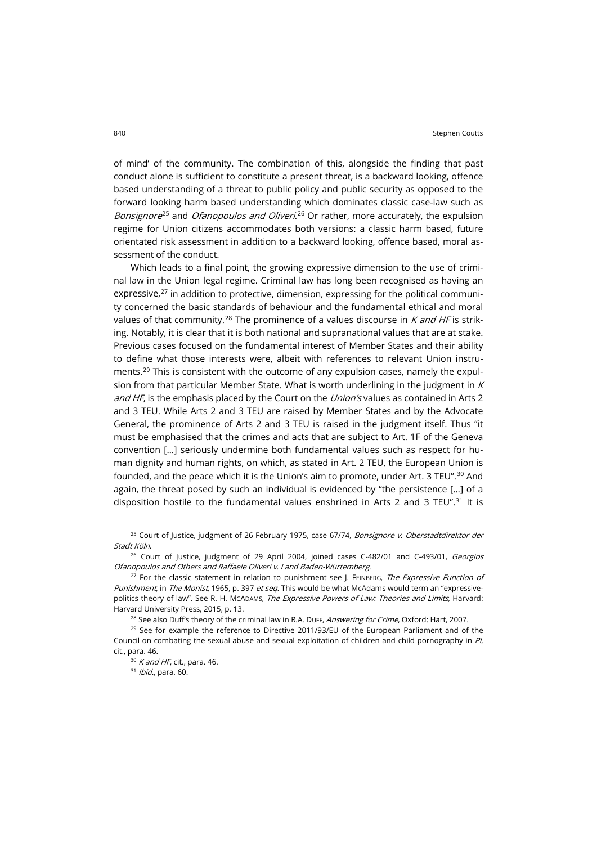of mind' of the community. The combination of this, alongside the finding that past conduct alone is sufficient to constitute a present threat, is a backward looking, offence based understanding of a threat to public policy and public security as opposed to the forward looking harm based understanding which dominates classic case-law such as *Bonsignore<sup>[25](#page-7-0)</sup> and Ofanopoulos and Oliveri.<sup>[26](#page-7-1)</sup> Or rather, more accurately, the expulsion* regime for Union citizens accommodates both versions: a classic harm based, future orientated risk assessment in addition to a backward looking, offence based, moral assessment of the conduct.

Which leads to a final point, the growing expressive dimension to the use of criminal law in the Union legal regime. Criminal law has long been recognised as having an expressive, $2^7$  in addition to protective, dimension, expressing for the political community concerned the basic standards of behaviour and the fundamental ethical and moral values of that community.<sup>[28](#page-7-3)</sup> The prominence of a values discourse in K and HF is striking. Notably, it is clear that it is both national and supranational values that are at stake. Previous cases focused on the fundamental interest of Member States and their ability to define what those interests were, albeit with references to relevant Union instruments.[29](#page-7-4) This is consistent with the outcome of any expulsion cases, namely the expulsion from that particular Member State. What is worth underlining in the judgment in  $K$ and HF, is the emphasis placed by the Court on the Union's values as contained in Arts 2 and 3 TEU. While Arts 2 and 3 TEU are raised by Member States and by the Advocate General, the prominence of Arts 2 and 3 TEU is raised in the judgment itself. Thus "it must be emphasised that the crimes and acts that are subject to Art. 1F of the Geneva convention […] seriously undermine both fundamental values such as respect for human dignity and human rights, on which, as stated in Art. 2 TEU, the European Union is founded, and the peace which it is the Union's aim to promote, under Art. 3 TEU". [30](#page-7-5) And again, the threat posed by such an individual is evidenced by "the persistence […] of a disposition hostile to the fundamental values enshrined in Arts 2 and 3 TEU".<sup>[31](#page-7-6)</sup> It is

<span id="page-7-0"></span><sup>25</sup> Court of Justice, judgment of 26 February 1975, case 67/74, Bonsignore v. Oberstadtdirektor der Stadt Köln.

<span id="page-7-1"></span> $26$  Court of Justice, judgment of 29 April 2004, joined cases C-482/01 and C-493/01, *Georgios* Ofanopoulos and Others and Raffaele Oliveri v. Land Baden-Würtemberg.

<span id="page-7-2"></span><sup>27</sup> For the classic statement in relation to punishment see J. FEINBERG, The Expressive Function of Punishment, in The Monist, 1965, p. 397 et seq. This would be what McAdams would term an "expressivepolitics theory of law". See R. H. McADAMS, The Expressive Powers of Law: Theories and Limits, Harvard: Harvard University Press, 2015, p. 13.

<sup>28</sup> See also Duff's theory of the criminal law in R.A. Duff, *Answering for Crime*, Oxford: Hart, 2007.

<span id="page-7-6"></span><span id="page-7-5"></span><span id="page-7-4"></span><span id="page-7-3"></span> $29$  See for example the reference to Directive 2011/93/EU of the European Parliament and of the Council on combating the sexual abuse and sexual exploitation of children and child pornography in PI, cit., para. 46.

 $30$  K and HF, cit., para. 46.  $31$  *Ibid.*, para. 60.